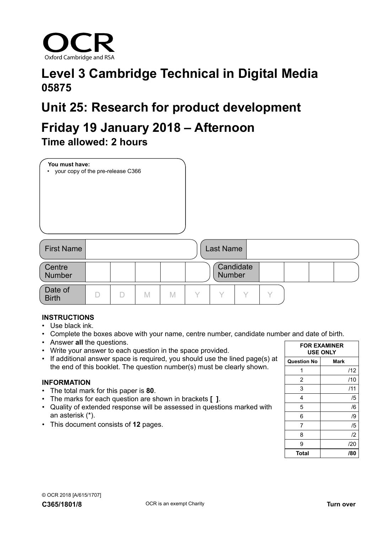

## **Level 3 Cambridge Technical in Digital Media 05875**

# **Unit 25: Research for product development**

### **Friday 19 January 2018 – Afternoon Time allowed: 2 hours**

| You must have:<br>• your copy of the pre-release C366 |   |   |   |   |                            |
|-------------------------------------------------------|---|---|---|---|----------------------------|
| <b>First Name</b>                                     |   |   |   |   | Last Name                  |
| Centre<br><b>Number</b>                               |   |   |   |   | Candidate<br><b>Number</b> |
| Date of<br><b>Birth</b>                               | D | D | M | M | Υ<br>Υ<br>$\checkmark$     |

#### **INSTRUCTIONS**

- Use black ink.
- Complete the boxes above with your name, centre number, candidate number and date of birth.
- Answer **all** the questions.
- Write your answer to each question in the space provided.
- If additional answer space is required, you should use the lined page(s) at the end of this booklet. The question number(s) must be clearly shown.

#### **INFORMATION**

- The total mark for this paper is **80**.
- The marks for each question are shown in brackets **[ ]**.
- Quality of extended response will be assessed in questions marked with an asterisk (\*).
- This document consists of **12** pages.

|                    | <b>FOR EXAMINER</b><br><b>USE ONLY</b> |
|--------------------|----------------------------------------|
| <b>Question No</b> | Mark                                   |
| 1                  | /12                                    |
| 2                  | /10                                    |
| 3                  | /11                                    |
| 4                  | /5                                     |
| 5                  | /6                                     |
| 6                  | /9                                     |
| 7                  | /5                                     |
| 8                  | $\mathbf{12}$                          |
| 9                  | /20                                    |
| Total              | /80                                    |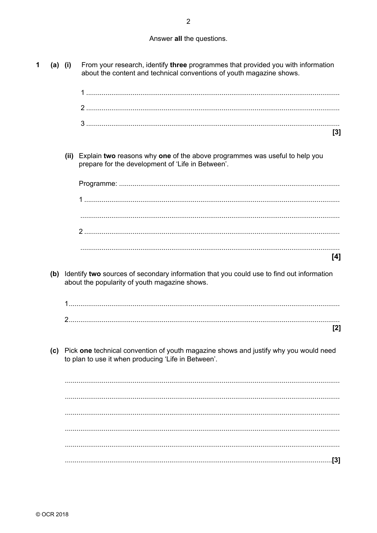#### Answer all the questions.

| $(a)$ (i) | From your research, identify three programmes that provided you with information<br>about the content and technical conventions of youth magazine shows. |
|-----------|----------------------------------------------------------------------------------------------------------------------------------------------------------|
|           |                                                                                                                                                          |
|           |                                                                                                                                                          |
|           | $[3]$                                                                                                                                                    |
|           | (ii) Explain two reasons why one of the above programmes was useful to help you<br>prepare for the development of 'Life in Between'.                     |
|           |                                                                                                                                                          |
|           |                                                                                                                                                          |
|           |                                                                                                                                                          |
|           | [4]                                                                                                                                                      |
|           | (b) Identify two sources of secondary information that you could use to find out information<br>about the popularity of youth magazine shows.            |
|           |                                                                                                                                                          |
|           | [2]                                                                                                                                                      |
| (c)       | Pick one technical convention of youth magazine shows and justify why you would need<br>to plan to use it when producing 'Life in Between'.              |
|           |                                                                                                                                                          |
|           |                                                                                                                                                          |
|           |                                                                                                                                                          |
|           |                                                                                                                                                          |
|           | [3]                                                                                                                                                      |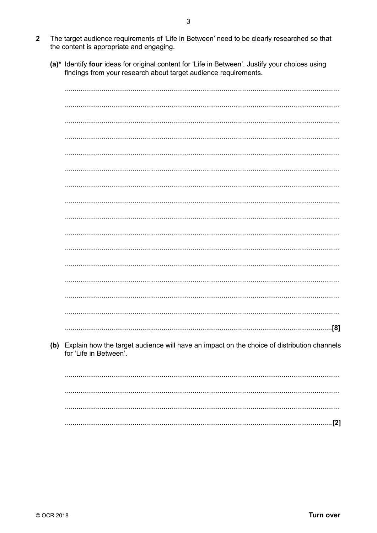- The target audience requirements of 'Life in Between' need to be clearly researched so that  $\overline{2}$ the content is appropriate and engaging.
	- (a)\* Identify four ideas for original content for 'Life in Between'. Justify your choices using findings from your research about target audience requirements.

| (b) Explain how the target audience will have an impact on the choice of distribution channels<br>for 'Life in Between'. |
|--------------------------------------------------------------------------------------------------------------------------|
|                                                                                                                          |
|                                                                                                                          |
|                                                                                                                          |
|                                                                                                                          |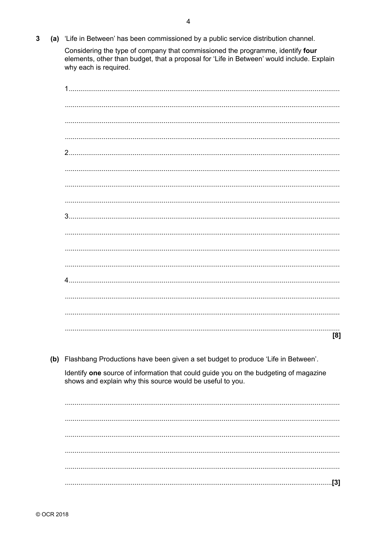(a) 'Life in Between' has been commissioned by a public service distribution channel.  $\overline{3}$ 

> Considering the type of company that commissioned the programme, identify four elements, other than budget, that a proposal for 'Life in Between' would include. Explain why each is required.

| 1.                                                                                                                                                |
|---------------------------------------------------------------------------------------------------------------------------------------------------|
|                                                                                                                                                   |
|                                                                                                                                                   |
|                                                                                                                                                   |
|                                                                                                                                                   |
|                                                                                                                                                   |
|                                                                                                                                                   |
|                                                                                                                                                   |
|                                                                                                                                                   |
|                                                                                                                                                   |
|                                                                                                                                                   |
|                                                                                                                                                   |
|                                                                                                                                                   |
|                                                                                                                                                   |
|                                                                                                                                                   |
|                                                                                                                                                   |
|                                                                                                                                                   |
| [8]                                                                                                                                               |
|                                                                                                                                                   |
| (b) Flashbang Productions have been given a set budget to produce 'Life in Between'.                                                              |
| Identify one source of information that could guide you on the budgeting of magazine<br>shows and explain why this source would be useful to you. |
|                                                                                                                                                   |
|                                                                                                                                                   |
|                                                                                                                                                   |
|                                                                                                                                                   |
|                                                                                                                                                   |
|                                                                                                                                                   |
|                                                                                                                                                   |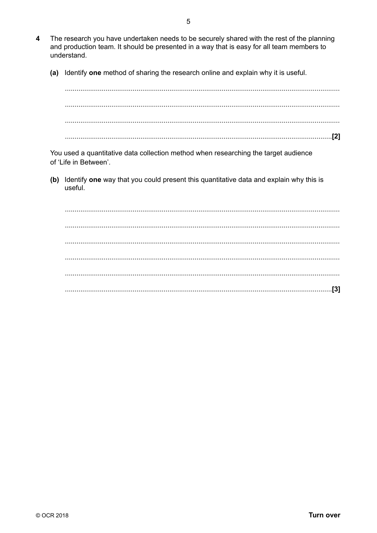- The research you have undertaken needs to be securely shared with the rest of the planning  $\overline{\mathbf{4}}$ and production team. It should be presented in a way that is easy for all team members to understand.
	- (a) Identify one method of sharing the research online and explain why it is useful.

You used a quantitative data collection method when researching the target audience of 'Life in Between'.

(b) Identify one way that you could present this quantitative data and explain why this is useful.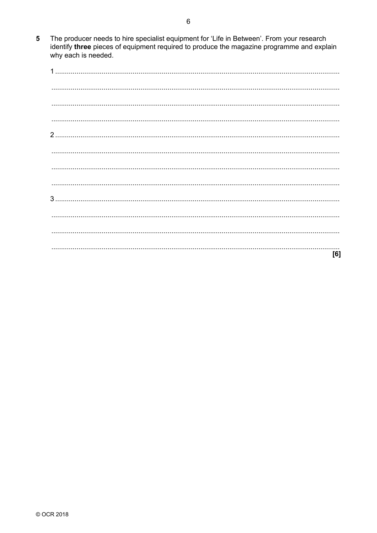The producer needs to hire specialist equipment for 'Life in Between'. From your research identify three pieces of equipment required to produce the magazine programme and explain  $5<sup>5</sup>$ why each is needed.

| [6] |
|-----|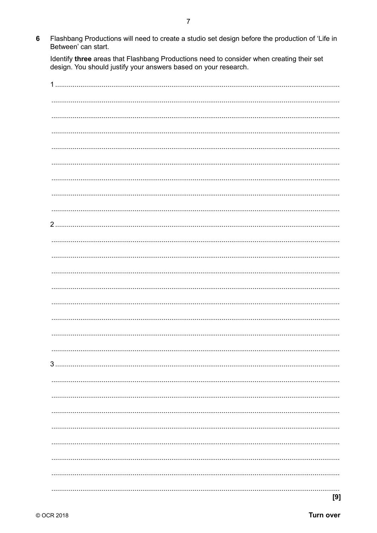Flashbang Productions will need to create a studio set design before the production of 'Life in  $6\overline{6}$ Between' can start.

Identify three areas that Flashbang Productions need to consider when creating their set design. You should justify your answers based on your research.

| 1          |
|------------|
|            |
|            |
|            |
|            |
|            |
|            |
|            |
| 2.         |
|            |
|            |
|            |
|            |
|            |
|            |
|            |
|            |
| 3          |
|            |
|            |
|            |
|            |
|            |
|            |
|            |
| .<br>$[9]$ |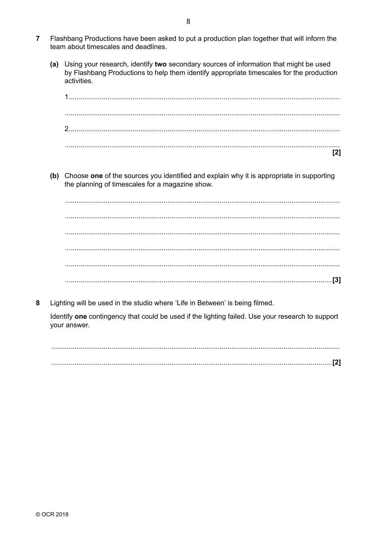- $\overline{7}$ Flashbang Productions have been asked to put a production plan together that will inform the team about timescales and deadlines
	- (a) Using your research, identify two secondary sources of information that might be used by Flashbang Productions to help them identify appropriate timescales for the production activities.

 $\mathsf{I2}$ 

(b) Choose one of the sources you identified and explain why it is appropriate in supporting the planning of timescales for a magazine show.

Lighting will be used in the studio where 'Life in Between' is being filmed. 8

Identify one contingency that could be used if the lighting failed. Use your research to support your answer.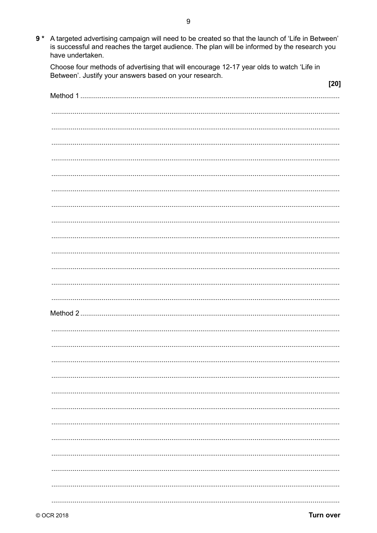9 \* A targeted advertising campaign will need to be created so that the launch of 'Life in Between'<br>is successful and reaches the target audience. The plan will be informed by the research you have undertaken.

Choose four methods of advertising that will encourage 12-17 year olds to watch 'Life in Between'. Justify your answers based on your research.

| $[20]$ |
|--------|
|        |
|        |
|        |
|        |
|        |
|        |
|        |
|        |
|        |
|        |
|        |
|        |
|        |
|        |
|        |
|        |
|        |
|        |
|        |
|        |
|        |
|        |
|        |
|        |
|        |
|        |
|        |
|        |
|        |
|        |
|        |
|        |
|        |
|        |
|        |
|        |
|        |
|        |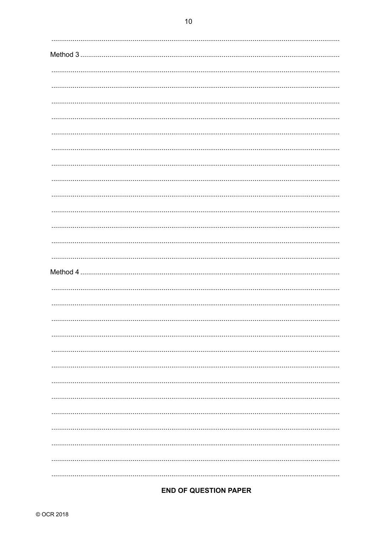### **END OF QUESTION PAPER**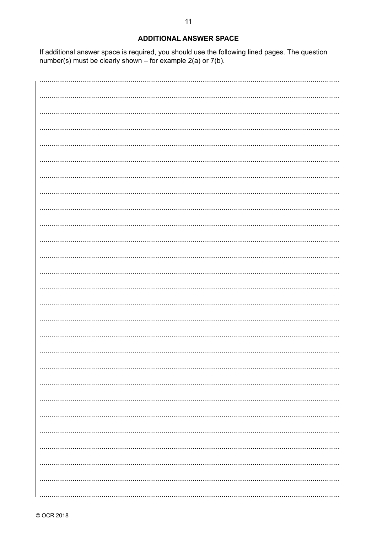#### **ADDITIONAL ANSWER SPACE**

If additional answer space is required, you should use the following lined pages. The question number(s) must be clearly shown – for example  $2(a)$  or  $7(b)$ .